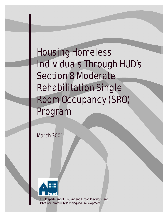Housing Homeless Individuals Through HUD's Section 8 Moderate Rehabilitation Single Room Occupancy (SRO) Program

March 2001



U.S. Department of Housing and Urban Development Office of Community Planning and Development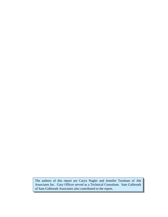The authors of this report are Caryn Nagler and Jennifer Turnham of Abt The authors of this report are Caryn Nagler and Jennifer Turnham of Abt Associates Inc. Gary Officer served as a Technical Consultant. Sam Galbreath Associates Inc. Gary Officer served as a Technical Consultant. Sam Galbreath of Sam Galbreath Associates also contributed to the report. of Sam Galbreath Associates also contributed to the report.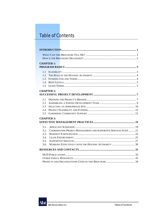# **Table of Contents**

|      | <b>CHAPTER 1:</b> |                                                                  |  |  |
|------|-------------------|------------------------------------------------------------------|--|--|
|      |                   |                                                                  |  |  |
|      |                   |                                                                  |  |  |
| 1.1  |                   |                                                                  |  |  |
| 1.2. |                   |                                                                  |  |  |
| 1.3  |                   |                                                                  |  |  |
| 1.4  |                   |                                                                  |  |  |
| 1.5  |                   |                                                                  |  |  |
|      | <b>CHAPTER 2:</b> |                                                                  |  |  |
|      |                   |                                                                  |  |  |
| 2.1  |                   |                                                                  |  |  |
| 2.2  |                   |                                                                  |  |  |
| 2.3  |                   |                                                                  |  |  |
| 2.4  |                   |                                                                  |  |  |
| 2.5  |                   |                                                                  |  |  |
|      | <b>CHAPTER 3:</b> |                                                                  |  |  |
|      |                   |                                                                  |  |  |
| 3.1. |                   |                                                                  |  |  |
| 3.2. |                   | COORDINATING PROJECT MANAGEMENT AND SUPPORTIVE SERVICES STAFF 21 |  |  |
| 3.3. |                   |                                                                  |  |  |
| 3.4. |                   |                                                                  |  |  |
| 3.5. |                   |                                                                  |  |  |
| 3.6. |                   |                                                                  |  |  |
|      |                   |                                                                  |  |  |
|      |                   |                                                                  |  |  |
|      |                   |                                                                  |  |  |
|      |                   |                                                                  |  |  |

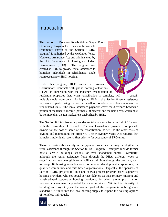# Introduction

The Section 8 Moderate Rehabilitation Single Room Occupancy Program for Homeless Individuals (commonly known as the Section 8 SRO program) is authorized by the McKinney-Vento Homeless Assistance Act and administered by the U.S. Department of Housing and Urban Development (HUD). The program was created in 1987 to provide rental assistance to homeless individuals in rehabilitated single room occupancy (SRO) housing.

Under this program, HUD enters into Annual Contributions Contracts with public housing authorities (PHAs) in connection with the moderate rehabilitation of residential properties that, when rehabilitation is complete, will contain multiple single room units. Participating PHAs make Section 8 rental assistance payments to participating owners on behalf of homeless individuals who rent the rehabilitated units. The rental assistance payments cover the difference between a portion of the tenant's income (normally 30 percent) and the unit's rent, which must be no more than the fair market rent established by HUD.

The Section 8 SRO Program provides rental assistance for a period of 10 years, with the possibility of renewal. The rental assistance payments compensate owners for the cost of some of the rehabilitation, as well as the other costs of owning and maintaining the property. The McKinney-Vento Act requires that homeless individuals receive first priority for occupancy of SRO units.

There is considerable variety in the types of properties that may be eligible for rental assistance through the Section 8 SRO Program. Examples include former hotels, YMCA buildings, schools, or even abandoned homes. Similarly, although the rental assistance flows through the PHA, different types of organizations may be eligible to rehabilitate buildings through the program, such as nonprofit housing organizations, community development corporations, or qualified community and faith-based organizations. Typically, the sponsors of Section 8 SRO projects fall into one of two groups: program-based supportive housing providers, who see social service delivery as their primary mission; and housing-based supportive housing providers, for whom the emphasis is on property management, supported by social services. Within this diversity of building and project types, the overall goal of the program is to bring more standard SRO units into the local housing supply to expand the housing options of homeless individuals.

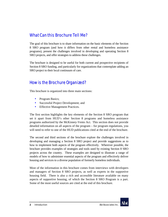# What Can this Brochure Tell Me?

The goal of this brochure is to share information on the basic elements of the Section 8 SRO program (and how it differs from other rental and homeless assistance programs), present the challenges involved in developing and operating Section 8 SRO projects, and offer strategies to address these challenges.

The brochure is designed to be useful for both current and prospective recipients of Section 8 SRO funding, and particularly for organizations that contemplate adding an SRO project to their local continuum of care.

# How is the Brochure Organized?

This brochure is organized into three main sections:

- Program Basics;
- Successful Project Development; and
- Effective Management Practices.

The first section highlights the key elements of the Section 8 SRO program that set it apart from HUD's other Section 8 programs and homeless assistance programs authorized by the McKinney-Vento Act. This section does not provide detailed information on all aspects of the program – for program regulations, you will need to refer to one of the HUD publications cited at the end of the brochure.

The second and third sections of the brochure explore the challenges involved in developing and managing a Section 8 SRO project and provide suggestions as to how to implement both aspects of the program effectively. Wherever possible, the brochure provides examples of strategies and tools used by existing Section 8 SRO projects across the country. These examples are designed to illustrate a range of models of how to administer essential aspects of the program and effectively deliver housing and services to a diverse population of formerly homeless individuals.

Most of the information in this brochure comes from interviews with developers and managers of Section 8 SRO projects, as well as experts in the supportive housing field. There is also a rich and accessible literature available on many aspects of supportive housing, of which the Section 8 SRO Program is a part. Some of the most useful sources are cited at the end of this brochure.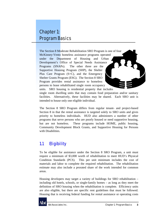# Chapter 1: Program Basics

The Section 8 Moderate Rehabilitation SRO Program is one of four McKinney-Vento homeless assistance programs operated under the Department of Housing and Urban Programs (SNAPs). units. SRO housing is residential property that includes Development's Office of Special Needs Assistance The other three are the Supportive Housing Program (SHP), the Shelter Plus Care Program (S+C), and the Emergency Shelter Grants Program (ESG). The Section 8 SRO Program provides rental assistance to homeless persons to lease rehabilitated single room occupancy

single room dwelling units that may contain food preparation and/or sanitary facilities. Alternatively, these facilities may be shared. Each SRO unit is intended to house only one eligible individual.

The Section 8 SRO Program differs from regular tenant- and project-based Section 8 in that the rental assistance is targeted solely to SRO units and gives priority to homeless individuals. HUD also administers a number of other programs that serve persons who are poorly housed or need supportive housing, but are not homeless. These programs include HOME, public housing, Community Development Block Grants, and Supportive Housing for Persons with Disabilities.

# 1.1 Eligibility

To be eligible for assistance under the Section 8 SRO Program, a unit must require a minimum of \$3,000 worth of rehabilitation to meet HUD's Physical Condition Standards (PCS). This per unit minimum includes the cost of materials and labor to complete the required rehabilitation. The rehabilitation estimate may also include a prorated share of the work intended for common areas.

Housing developers may target a variety of buildings for SRO rehabilitation – including old hotels, schools, or single-family homes – as long as they meet the definition of SRO housing when the rehabilitation is complete. Efficiency units are also eligible, but there are specific rent guidelines that must be followed. Housing that is receiving federal funding for rental assistance or operating costs

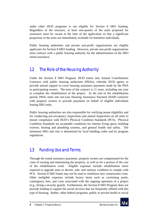under other HUD programs is not eligible for Section 8 SRO funding. Regardless of the structure, at least one-quarter of the units proposed for assistance must be vacant at the time of the application so that a significant proportion of the units are immediately available for homeless individuals.

Public housing authorities and private non-profit organizations are eligible applicants for Section 8 SRO funding. However, private non-profit organizations must contract with a public housing authority for the administration of the SRO rental assistance.

# 1.2 The Role of the Housing Authority

Under the Section 8 SRO Program, HUD enters into Annual Contributions Contracts with public housing authorities (PHAs), whereby HUD agrees to provide annual support to cover housing assistance payments made by the PHA to participating owners. The term of the contract is 11 years, including one year to complete the rehabilitation of the project. At the end of the rehabilitation period, PHAs enter into ten-year Housing Assistance Payment (HAP) contracts with property owners to provide payments on behalf of eligible individuals leasing SRO units.

Public housing authorities are also responsible for verifying tenant eligibility and for conducting pre-occupancy inspections and annual inspections on all units to ensure compliance with HUD's Physical Condition Standards (PCS). Physical Condition Standards set acceptable conditions for interior living space, building exterior, heating and plumbing systems, and general health and safety. The minimum SRO unit size is determined by local building codes and by program regulations.

# 1.3 Funding Use and Terms

Through the rental assistance payments, property owners are compensated for the costs of owning and maintaining the property, as well as for a portion of the cost of the rehabilitation work. Eligible expenses include rehabilitation items required to upgrade units to decent, safe, and sanitary condition to comply with PCS. Section 8 SRO funds *may not* be used to reimburse new construction costs. Other ineligible expenses include luxury items such as swimming pools, contingency fees, and costs associated with the ongoing operation of a project (e.g., hiring a security guard). Furthermore, the Section 8 SRO Program does not provide funding to support the social services that are frequently offered with this type of housing. Rather, other federal programs, public or private health or social

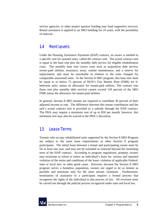service agencies, or other project sponsor funding may fund supportive services. Rental assistance is applied to an SRO building for 10 years, with the possibility of renewal.

# 1.4 RentLevels

Under the Housing Assistance Payments (HAP) contract, an owner is entitled to a specific rent for assisted units, called the contract rent. The actual contract rent is equal to the base rent plus the monthly debt service for eligible rehabilitation costs. The monthly base rent covers costs such as acquisition debt service, owner-paid utilities, insurance, taxes, routine maintenance, and a reserve for replacement, and must be reasonable in relation to the rents charged for comparable unassisted units. In the Section 8 SRO program, this base rent must be equal to or below 75 percent of HUD's Fair Market Rent (FMR) for 0 bedroom units, minus an allowance for tenant-paid utilities. The contract rent (base rent plus monthly debt service) cannot exceed 120 percent of the SRO FMR minus the allowance for tenant-paid utilities.

In general, Section 8 SRO tenants are required to contribute 30 percent of their adjusted income to rent. The difference between this tenant contribution and the unit's actual contract rent is provided as a subsidy through the HAP contract. The PHA may require a minimum rent of up to \$50 per month; however, this minimum rent may also be waived at the PHA's discretion.

# 1.5 Lease Terms

Tenants who occupy rehabilitated units supported by the Section 8 SRO Program are subject to the same lease requirements as other Section 8 program participants. The initial lease between a tenant and participating owner must be for at least one year, and may not be extended or renewed beyond the remaining term of the HAP contract. According to program regulations, property owners may terminate or refuse to renew an individual's lease for: serious and repeated violation of the terms and conditions of the lease; violation of applicable Federal, state or local law; or other good cause. However, because the Section 8 SRO program serves a homeless population, owners are urged to be as lenient as possible and terminate only for the most serious violations. Furthermore, termination of assistance to a participant requires a formal process that recognizes the rights of the individual to due process of law. All evictions must be carried out through the judicial process recognized under state and local law.

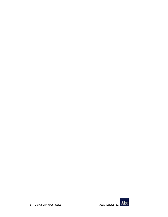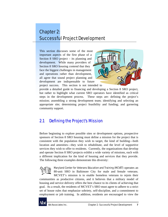# Chapter 2: Successful Project Development

This section discusses some of the most important aspects of the first phase of a Section 8 SRO project – its planning and development. While many providers of Section 8 SRO housing contend that they face the biggest challenges in management and operations rather than development, all agree that sound project planning and development are indispensable to future project success. This section is not intended to



provide a detailed guide to financing and developing a Section 8 SRO project, but rather to highlight what current SRO operators have identified as critical steps in the development process. These steps are: defining the project's mission; assembling a strong development team; identifying and selecting an appropriate site; determining project feasibility and funding; and garnering community support.

# 2.1 Defining the Project's Mission

Before beginning to explore possible sites or development options, prospective sponsors of Section 8 SRO housing must define a mission for the project that is consistent with the population they wish to target, the kind of building—both location and amenities—they wish to rehabilitate, and the level of supportive services they wish to offer to residents. Currently, the organizations that develop and operate Section 8 SRO projects exhibit a wide variety of missions, each with a different implication for the kind of housing and services that they provide. The following three examples demonstrate this diversity:



Maryland Center for Veterans Education and Training (MCVET) operates an 80-unit SRO in Baltimore City for male and female veterans. MCVET's mission is to enable homeless veterans to rejoin their

communities as productive citizens, and it believes that a military model of housing and service delivery offers the best chance to its clients of achieving that goal. As a result, the residents of MCVET's SRO must agree to adhere to a strict set of house rules that emphasize sobriety, self-discipline, and a commitment to employment or job training. In addition, residents are encouraged to view the

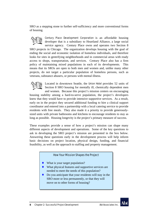SRO as a stepping stone to further self-sufficiency and more conventional forms of housing.

Century Place Development Corporation is an affordable housing developer that is a subsidiary to Heartland Alliance, a large social service agency. Century Place owns and operates two Section 8 SRO projects in Chicago. The organization develops housing with the goal of ending the social and economic isolation of homeless individuals, and therefore looks for sites in gentrifying neighborhoods and in commercial areas with ready access to shops, transportation, and services. Century Place also has a firm policy of maintaining mixed populations in each of its developments. This means that its SROs are open to both men and women and, unlike many other projects, do not target a particular population of homeless persons, such as veterans, substance abusers, or persons with mental illness.

Located in downtown Seattle, the Union Hotel provides 52 units of Section 8 SRO housing for mentally ill, chemically dependent men and women. Because this project's mission centers on encouraging housing stability among a hard-to-serve population, the project's developers knew that they would have to provide intensive supportive services. As a result, early on in the project they secured additional funding to hire a clinical support coordinator and entered into a partnership with a local catering service to provide residents with free meals. They also made it a priority to provide generouslysized units with private bathrooms and kitchens to encourage residents to stay as long as possible. Housing longevity is the project's primary measure of success.

These examples provide a sense of how a project's mission can shape many different aspects of development and operations. Some of the key questions to ask in developing the SRO project's mission are presented in the box below. Answering these questions early in the development process will help inform basic decisions on project location, physical design, funding, and financial feasibility, as well as the approach to staffing and property management.

How Your Mission Shapes the Project

- What is your target population?
- What physical features and supportive services are needed to meet the needs of this population?
- ¤ Do you anticipate that your residents will stay in the SRO more or less permanently, or that they will move on to other forms of housing?

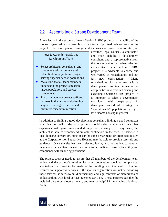# 2.2 Assembling a Strong Development Team

A key factor in the success of many Section 8 SRO projects is the ability of the sponsor organization to assemble a strong team of professionals to carry out the project. The development team generally consists of project sponsor staff, an

- 
- 
- 

Keys to Assembling a Strong<br>Development Team and a representative from consultant and a representative from the housing authority. When selecting Select architects, consultants, and an architect for a Section 8 SRO contractors with experience with project, it is advisable to choose one rehabilitation projects and projects well-versed in rehabilitation, and not serving "special needs" populations. just new construction. Many Make sure that all team members organizations choose to team with a understand the project's mission, development consultant because of the target population, and service complexities involved in financing and component. executing a Section 8 SRO project. It Try to include key project staff and is important to select a development partners in the design and planning consultant with experience in stages to leverage expertise and developing subsidized housing for minimize miscommunication. <sup>"</sup> special needs" populations, not just low-income housing in general.

In addition to finding a good development consultant, finding a good contractor is critical as well. Ideally, a project should select a contractor who has experience with government-funded supportive housing. In many cases, the architect is able to recommend suitable contractors in the area. Otherwise, a local housing consortium, state or city housing department, or organization such as the Corporation for Supportive Housing may be able to provide referrals and guidance. Once the site has been selected, it may also be prudent to have an independent consultant review the contractor's timeline to ensure feasibility and compliance with financing provisions.

The project sponsor needs to ensure that all members of the development team understand the project's mission, its target population, the kinds of physical adaptations that need to be made to the building, and the level of funding required for supportive services. If the sponsor organization will not be providing those services, it needs to build partnerships and sign contracts or memoranda of understanding with local service agencies early on. These partners can then be included on the development team, and may be helpful in leveraging additional funds.

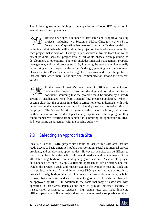The following examples highlight the experiences of two SRO sponsors in assembling a development team:

Having developed a number of affordable and supportive housing projects, including two Section 8 SROs, Chicago's Century Place Development Corporation has worked out an effective model for including individuals who will work at the project on the development team. For each project that it develops, Century City assembles a diverse team that, to the extent possible, sees the project through all of its phases, from planning, to development, to operations. The team includes financial management, property management, and social services staff. By involving the staff that will eventually be working at the project in the project's design, planning, and development phases, Century Place is able to leverage their expertise and avoid the problems that can arise when there is not sufficient communication among the different parties.

In the case of Seattle's Union Hotel, insufficient communication between the project sponsor and development consultant led to the consultant assuming that the project would be funded by a steady stream of unsubsidized rents from a general low-income population. When it became clear that the sponsor intended to target homeless individuals with little or no income, the development team had to identify a source of rental subsidy for the project. The Section 8 SRO program was the obvious solution, but because neither the sponsor nor the developer had any experience with the program, they found themselves "starting from scratch" in submitting an application to HUD and negotiating an agreement with the housing authority.

# 2.3 Selecting an Appropriate Site

Ideally, a Section 8 SRO project site should be located in a safe area that has ready access to basic amenities, public transportation, social and medical service providers, and employment opportunities. However, such sites can be difficult to find, particularly in cities with tight rental markets and where many of the affordable neighborhoods are undergoing gentrification. As a result, project developers often need to apply a flexible approach to site selection, one that weighs the project's goals and mission against the available housing stock and local political climate. At a minimum, most SRO operators agree that locating a project in a neighborhood that has high levels of crime or drug activity, or is far removed from amenities and services, is not a good idea. It is also not likely to be approved by HUD. In addition to the costs that may be associated with operating in these areas (such as the need to provide increased security or transportation assistance to residents), high crime rates can make financing difficult, particularly if the project does not include on-site supportive services.

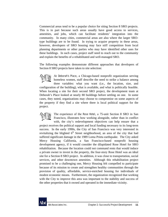Commercial areas tend to be a popular choice for siting Section 8 SRO projects. This is in part because such areas usually have good access to services, amenities, and jobs, which can facilitate residents' integration into the community. In many cities, commercial areas are also where the larger SROtype buildings are to be found. In trying to acquire property in these areas, however, developers of SRO housing may face stiff competition from local planning departments or other parties who may have identified other uses for these buildings. In such cases, project staff need to reach out to the community and explain the benefits of a rehabilitated and well-managed SRO.

The following examples demonstrate different approaches that developers of Section 8 SRO projects have taken to site selection:

At Deborah's Place, a Chicago-based nonprofit organization serving homeless women, staff describe the need to strike a balance among three variables: what you want (i.e., the location, size, and configuration of the building), what is available, and what is politically feasible. When locating a site for their second SRO project, the development team at Deborah's Place looked at nearly 80 buildings before settling on one. In some cases, they noted, organizations may choose to compromise on some aspects of the property if they find a site where there is local political support for the project.

The experience of the Rose Hotel, a 75-unit Section 8 SRO in San Francisco, illustrates how working alongside, rather than in conflict with, the city's redevelopment objectives can help ensure that a project receives the political support and local funding necessary to its long-term success. In the early 1990s, the City of San Francisco was very interested in revitalizing the blighted  $6<sup>th</sup>$  Street neighborhood, an area of the city that had suffered significant damage in the 1989 Loma Prieta earthquake. The City asked Mercy Housing California, a San Francisco-based nonprofit housing development agency, if it would consider the dilapidated Rose Hotel for SRO rehabilitation. Because the location could not command rents that would induce a private owner to invest in the property, the four-story Rose Hotel was an ideal site for a Section 8 SRO project. In addition, it was close to transportation, social services, and other downtown amenities. Although this rehabilitation project promised to be a challenging one, Mercy Housing felt compelled to participate because of its mission to create and strengthen healthy communities through the provision of quality, affordable, service-enriched housing for individuals of modest economic means. Furthermore, the organization recognized that working with the City to improve this area was important to the stability and success of the other properties that it owned and operated in the immediate vicinity.

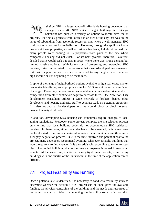Lakefront SRO is a large nonprofit affordable housing developer that manages some 700 SRO units in eight buildings in Chicago. Lakefront has pursued a variety of options to locate sites for its projects. Its first six projects were located in an area of the city that was on the verge of rebounding from economic recession, and where a well-managed SRO could act as a catalyst for revitalization. However, through the applicant intake process at these properties, as well as resident feedback, Lakefront learned that many people were coming to its properties from parts of the city where comparable housing did not exist. For its next projects, therefore, Lakefront decided that it would seek out sites in areas where there was strong demand but limited housing options. With its mission of preserving and expanding SRO housing, Lakefront has tried to demonstrate that a well-developed, well-managed SRO with supportive services can be an asset to any neighborhood, whether high-income or just beginning to be revitalized.

In spite of the range of neighborhood options available, a tight real estate market can make identifying an appropriate site for SRO rehabilitation a significant challenge. There may be few properties available at a reasonable price, and stiff competition from other contractors eager to purchase them. One New York City development consultant utilizes a wide network of brokers, banks, other developers, and housing authority staff to generate leads on potential properties. It is also not unusual for developers to drive around, block by block, to scout prospective neighborhoods.

In addition, developing SRO housing can sometimes require changes to local zoning regulations. Moreover, some projects complete the site selection process only to find that local building codes do not accommodate SRO residential housing. In these cases, either the codes have to be amended, or in some cases the local jurisdiction can be convinced to waive them. In either case, this can be a lengthy negotiation process. Due to the time involved and potential cost to the project, many developers recommend avoiding, whenever possible, buildings that would require a zoning change. It is also advisable, according to some, to steer clear of occupied buildings, due to the time and expense involved in relocating tenants. At the same time, in cities with very tight rental markets, even finding buildings with one quarter of the units vacant at the time of the application can be difficult.

# 2.4 Project Feasibility and Funding

Once a potential site is identified, it is necessary to conduct a feasibility study to determine whether the Section 8 SRO project can be done given the available funding, the physical constraints of the building, and the needs and resources of the target population. Prior to conducting the feasibility study, it is crucial to

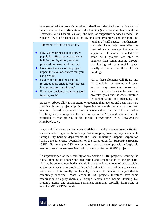have examined the project's mission in detail and identified the implications of the mission for the configuration of the building (including compliance with the Americans With Disabilities Act), the level of supportive services needed, the expected level of vacancies, turnover, and rent arrearages, and the type and

- 
- impact the level of services that you buildings. can provide?
- 
- 

number of staff needed. Furthermore, Elements of Project Feasibility  $\parallel$  the scale of the project may affect the level of social services that can be • How will your mission and target supported. It should be noted that population affect key areas such as some SRO projects are able to building configuration; services all augment their rental income through provided; turnover; and staffing?  $\parallel$  the leasing of commercial space, ¤ How does the scale of the project usually on the ground floor of their

Have you captured the costs and All of these elements will figure into revenues appropriate to *your* project, the calculation of revenue and costs, in *your* location, at *this* time? and in many cases the sponsor will Have you considered your long-term need to strike a balance between the funding needs? project's goals and the costs involved in rehabilitating and managing the

property. Above all, it is important to recognize that revenue and costs may vary significantly from project to project depending on its scale, target population, and location. Indeed, experienced SRO developers stress that part of what makes feasibility studies complex is the need to capture the "cost and income elements particular to *that* project, in *that* locale*,* at *that* time" (*SRO Development Handbook*, p. 7).

In general, there are few resources available to fund predevelopment activities, such as conducting a feasibility study. Some support, however, may be available through City housing departments, the Local Initiatives Support Corporation (LISC), the Enterprise Foundation, or the Corporation for Supportive Housing (CSH). For example, CSH may be able to assist a developer with a forgivable loan to cover expenses associated with planning a Section 8 SRO project.

An important part of the feasibility of any Section 8 SRO project is securing the capital funding to finance the acquisition and rehabilitation of the property. Ideally, the development budget should include the least amount of debt possible, as the rental assistance provided through Section 8 is not sufficient to service a heavy debt. It is usually not feasible, however, to develop a project that is completely debt-free. Most Section 8 SRO projects, therefore, have some combination of equity (normally through Federal Low Income Housing Tax Credits), grants, and subsidized permanent financing, typically from State or local HOME or CDBG funds.

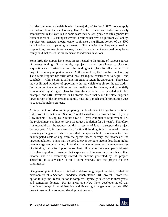In order to minimize the debt burden, the majority of Section 8 SRO projects apply for Federal Low Income Housing Tax Credits. These tax credits are usually administered by the state, but in some cases may be sub-granted to city agencies for further allocation. By selling tax credits to entities that have a significant tax liability, a project can generate enough equity to finance a significant portion of the SRO rehabilitation and operating expenses. Tax credits are frequently sold to corporations; however, in some cases, the entity purchasing the tax credit may be an equity fund that passes the tax credits on to individual investors.

Some SRO developers have noted issues related to the timing of various sources of project funding. For example, a project may not be allowed to close on acquisition and construction until the funding is in place for all aspects of the project, including support services. At the same time, the Low Income Housing Tax Credit Program has strict deadlines that require construction to begin – and conclude – within certain timeframes in order to retain the tax credits. There also may be limited windows of opportunity during which to apply for the tax credits. Furthermore, the competition for tax credits can be intense, and potentially compounded by stringent plans for how the credits will be parceled out. For example, one SRO developer in California noted that while the state targets a large portion of the tax credits to family housing, a much smaller proportion goes to support homeless projects.

An important consideration in preparing the development budget for a Section 8 SRO project is that while Section 8 rental assistance is awarded for 10 years, Low Income Housing Tax Credits have a 15-year compliance requirement (i.e., the project must continue to serve the target population for 15 years). Therefore, it is essential that the sponsor build in a reserve of funds to support the project through year 15, in the event that Section 8 funding is not renewed. Some financing arrangements also require that the sponsor build in reserves to cover unanticipated costs arising from the special needs or very low incomes of the target population. These may be used to cover periodic income loss from higher than average rent arrearages, higher than average turnover, or the temporary loss of a funding source for supportive services. Finally, as one developer cautioned, it is also important to assume that expenses will increase at a rate faster than income, and will eventually exceed the income generated by the project. Therefore, it is advisable to build extra reserves into the project for this contingency.

One general point to keep in mind when determining project feasibility is that the development of a Section 8 moderate rehabilitation SRO project – from first option to buy until rehabilitation is complete – typically takes two to three years, and sometimes longer. For instance, one New York developer noted that significant delays in administrative and financing arrangements for one SRO project resulted in a four-year development process.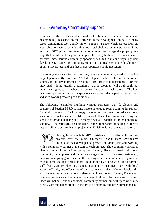# 2.5 Garnering Community Support

Almost all of the SRO sites interviewed for this brochure experienced some level of community resistance to their projects in the development phase. In many cases, communities took a fairly minor "NIMBY" stance, which project sponsors were able to reverse by educating local stakeholders on the purpose of the Section 8 SRO project and making a commitment to manage the property in a way that would not negatively impact the neighborhood. In other cases, however, more serious community opposition resulted in major delays to project development. Garnering community support is a critical step in the development of any SRO project, and one that project sponsors should not ignore.

Community resistance to SRO housing, while commonplace, need not block a project permanently. As one NYC developer concluded, the most important strategy in the development of Section 8 SRO projects is persistence. For this individual, it is not usually a question of *if* a development will go through, but rather *when* (particularly when the sponsor has a good track record). The key, this developer contends, is to expect resistance, consider it part of the process, and keep working toward good solutions.

The following examples highlight various strategies that developers and operators of Section 8 SRO housing have employed to secure community support for their projects. Each strategy recognizes the need to educate local stakeholders on the value of SROs as a cost-efficient means of increasing the stock of affordable housing and, in many cases, as a contributor to neighborhood stability. The strategies also underscore the importance of taking collective responsibility to ensure that the project site, if visible, is not seen as a problem.



Having faced much NIMBY resistance to its affordable housing projects over the years, Chicago's Century Place Development Corporation has developed a process of identifying and working

with a community partner at the start of each project. The community partner is often a community organizing group, but Century Place also works with local community development and social service agencies. In many cases, particularly in areas undergoing gentrification, the backing of a local community organizer is crucial to marshalling local support. In addition to working with a local partner, staff from Century Place also attend community meetings, meet with local elected officials, and offer tours of their current facilities. Having developed a good reputation in the city, local aldermen will now contact Century Place about redeveloping a vacant building in their neighborhood. In these cases, Century Place will not seek out an additional community partner, but will try to work very closely with the neighborhood in the project's planning and development phases.

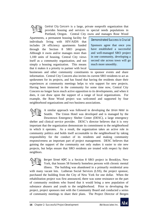

Central City Concern is a large, private nonprofit organization that provides housing and services to special needs populations in Portland, Oregon. Central City owns and manages Rose Wood

Apartments, a permanent housing facility for<br>individuals living with HIV/AIDS that Demonstrated Success is Crucial includes 24 efficiency apartments funded Sponsors agree that once you through the Section 8 SRO program. have established a successful Although it owns and/or manages more than  $\parallel$  and well-managed SRO project  $1,100$  units of housing, Central City views in one community, developing a itself as a community organization, and not second site across town will go simply a housing organization. This means  $\vert$  much more smoothly. that it makes it a priority to partner with local

businesses and other community constituents to sponsor events and share information. Central City Concern also invites its current SRO residents to act as spokesmen for its projects, and has found that having the residents share their experiences at community meetings helps to win support for new projects. Having been immersed in the community for some time now, Central City Concern no longer faces much active opposition to its developments, and when it does, it can draw upon the support of a range of local organizations. For example, the Rose Wood project was welcomed and supported by four neighborhood organizations and two business associations.

A similar approach was followed in developing the Union Hotel in Seattle. The Union Hotel was developed and is managed by the Downtown Emergency Shelter Center (DESC), a large emergency shelter and clinical service provider. DESC's director believes that it is very important that the organization demonstrate its commitment to the neighborhood in which it operates. As a result, the organization takes an active role in community politics and holds itself accountable to the neighborhood by taking responsibility for the conduct of its residents and making community responsiveness an important part of project management. DESC believes that gaining the support of the community not only makes it easier to site new projects, but helps ensure that SRO residents are treated with respect by their neighbors.

Bergen Street HDFC is a Section 8 SRO project in Brooklyn, New York, that houses 58 formerly homeless persons with chronic mental

illness. The building was abandoned in a primarily residential area with many vacant lots. Lutheran Social Services (LSS), the project sponsor, purchased the building from the City of New York for one dollar. When the rehabilitation project was first announced, there was some resistance on the part of community residents who feared that it would bring a new population of substance abusers and youth to the neighborhood. Prior to developing the project, project sponsors met with the Community Board and conducted a series of community meetings to share their plans. The Project Director of Bergen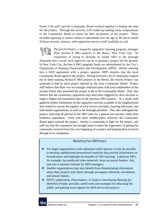Street, LSS staff, and the Community Board worked together to finalize the plan for the project. Through this process, LSS ended up making some compromises to the Community Board in return for their acceptance of the project. These included agreeing to restrict intake to individuals over the age of 40 and to install 24-hour security cameras, with supportive services staff available on-call.



The Jericho Project, a nonprofit supportive housing program, manages three Section 8 SRO projects in the Bronx, New York City. Its

experience in trying to develop its fourth SRO in the borough illustrates how crucial local approval can be to getting a project off the ground. In New York City, Section 8 SRO program funds are administered by the City's Department of Housing Preservation and Development (HPD). Before entering into a HAP agreement with a project sponsor, HPD requires that the local Community Board approve the project. Having received a lot of community support for its three existing Section 8 SRO projects in the Bronx, the Jericho Project was surprised to find its latest project rejected by the local Community Board. Project staff believe that there was not enough communication with local stakeholders in the months before they presented the project to the to the Community Board. They also believe that the community opposition may have been triggered by their decision to target a higher-risk population than in the previous SRO projects. As a result, staff gathered further information on the supportive services available in the neighborhood and worked to secure the support of local service providers, housing advocates, and faith-based organizations, as well as the borough president. They also redesigned the project, reserving 40 percent of the SRO units for a general low-income, rather than homeless, population. Even with these modifications, however, the Community Board again rejected the project. Jericho is continuing to fight for the project, and staff say that the experience has brought home to them the importance of getting the community involved from the very beginning of a project and keeping them involved through to its completion.

#### Marketing Your SRO Project

- For larger organizations with substantial staff capacity, it may be possible to develop sophisticated promotional materials that provide information on homelessness and highlight the benefits of SRO housing. Lakefront SRO, for example, has produced video materials, hosts an annual funders' day, and runs a summer institute for SRO managers.
- Smaller organizations may also benefit from disseminating information about their projects and clients through newspaper editorials, newsletters, and annual reports.
- ¤ HUD's publication, *Placemakers: A Guide to Developing Housing for Homeless People*, provides useful tools and strategies for educating the public and gaining local support for difficult-to-site projects.

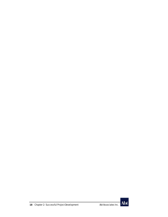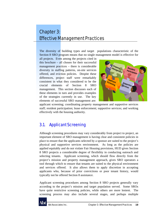# Chapter 3: Effective Management Practices

The diversity of building types and target populations characteristic of the Section 8 SRO program means that no single management model is effective for

all projects. Even among the projects cited in this brochure – all chosen for their successful management practices – there is considerable diversity in staffing patterns, on-site services offered, and eviction policies. Despite these differences, project staff were remarkably consistent in what they considered to be the crucial elements of Section 8 SRO management. This section discusses each of these elements in turn and provides examples of the strategies currently in use. The key elements of successful SRO management are:



applicant screening; coordinating property management and supportive services staff; resident participation; lease enforcement; supportive services; and working effectively with the housing authority.

# 3.1. Applicant Screening

Although screening procedures may vary considerably from project to project, an important element of SRO management is having clear and consistent policies in place to ensure that the applicants selected by a sponsor are suited to the project's physical and supportive services environment. As long as the policies are applied equitably and do not violate Fair Housing provisions, HUD gives Section 8 SRO projects a considerable degree of flexibility in conducting outreach and selecting tenants. Applicant screening, which should flow directly from the project's mission and property management approach, gives SRO operators a tool through which to ensure that tenants are suited to the physical environment and services offered. It also allows them to apply discretion in accepting applicants who, because of prior convictions or poor tenant history, would typically not be offered Section 8 assistance.

Applicant screening procedures among Section 8 SRO projects generally vary according to the project's mission and target population served. Some SROs have quite restrictive screening policies, while others are more lenient. The screening process may also include several stages, and perhaps multiple

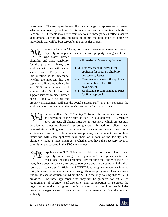interviews. The examples below illustrate a range of approaches to tenant selection employed by Section 8 SROs. While the specific screening methods for Section 8 SRO tenants may differ from site to site, these policies reflect a shared goal among Section 8 SRO sponsors to target the population of homeless individuals that will be best served by the particular project.



Deborah's Place in Chicago utilizes a three-tiered screening process. Typically, an applicant meets first with property management staff,

who assess his/her for the program. Next, the this meeting is to determine and tenancy issues. capacity to live productively in  $\left\vert \right\rangle$  for suitability to the SRO an SRO environment and environment. support services to meet his/her  $\vert$  for final approval. needs. Finally, if neither the

eligibility and basic suitability The Three-Tiered Screening Process

- applicant will meet with social  $\vert$  Tier 1: Property manager screens the services staff. The purpose of  $\parallel$  applicant for program eligibility whether the applicant has the  $\vert$  Tier 2: Case manager screens the applicant
- whether the SRO has the Tier 3: Applicant is recommended to  $PHA$

property management staff nor the social services staff have any concerns, the applicant is recommended to the housing authority for final approval.

Senior staff at The Jericho Project stresses the importance of intake and screening to the health of its SRO developments. At Jericho's SRO projects, all clients must be "in recovery," which project staff describe as something beyond just being sober. In addition, clients must demonstrate a willingness to participate in services and work toward selfsufficiency. As part of Jericho's intake process, staff conduct two to three interviews with each applicant, take them on a tour of the facility, and,

ultimately, make an assessment as to whether they have the necessary level of commitment to succeed in the SRO environment.

Applicants to MCVET's Section 8 SRO for homeless veterans have typically come through the organization's emergency shelter and transitional housing programs. By the time they apply to the SRO, many have been in recovery for one to two years and are pursuing an individual service plan toward self-sufficiency. MCVET does accept some veterans into the SRO, however, who have not come through its other programs. This is always true in the case of women, for whom the SRO is the only housing that MCVET provides. For these applicants, who may not be prepared for MCVET's requirements of sobriety, self-discipline, and participation in services, the organization conducts a rigorous vetting process by a committee that includes property management staff, case managers, and representatives from the housing authority.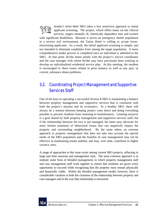

Seattle's Union Hotel SRO takes a less restrictive approach to initial applicant screening. The project, which offers many on-site clinical services, targets mentally ill, chemically dependent men and women with significant disabilities. Because it serves an emergency shelter population in a service rich environment, the Union Hotel is willing to accept lowerfunctioning applicants. As a result, the initial applicant screening is simple, and not intended to eliminate candidates from among the target population. A more comprehensive intake process is completed once an individual is admitted to the SRO. At that point, he/she meets jointly with the project's service coordinator and the case manager with whom he/she may have previously been working to develop an individualized residential service plan. At this meeting, the resident is encouraged to share issues related to prior tenancy as well as any past, or current, substance abuse problems.

# 3.2. Coordinating Project Management and Supportive Services Staff

One of the keys to operating a successful Section 8 SRO is maintaining a balance between property management and supportive services that is consistent with both the project's mission and its economics. In a healthy SRO, there will always be a tension between keeping project costs down and doing everything possible to prevent residents from returning to homelessness. Limiting turnover is a goal shared by both property management and supportive services staff, but if the relationship between the two is not managed, the latter may advocate for more lenient treatment of behavioral issues that can negatively impact the property and surrounding neighborhood. By the same token, an extreme approach to property management that does not take into account the special needs of the SRO population and the benefits of case management may not be effective in maintaining tenant stability and may, over time, contribute to higher vacancy rates.

A range of approaches to this issue exists among current SRO projects, reflecting in large part their missions and management style. The most common approach is to institute some from of *blended management*, in which property management staff and case management staff work together to ensure that residents are given every opportunity to succeed while recognizing that the property must remain physically and financially viable. Within the blended management model, however, there is considerable variation in both the closeness of the relationship between property and case managers and in the way that relationship is structured.

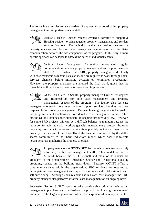The following examples reflect a variety of approaches to coordinating property management and supportive services staff:

Deborah's Place in Chicago recently created a Director of Supportive Housing position to bring together property management and resident services functions. The individual in this new position oversees the property manager and housing case management administrator, and facilitates communication between the two components of the program. In this way, a more holistic approach can be taken to address the needs of individual tenants.



Century Place Development Corporation encourages regular communication between property management and support services staff. At its Karibuni Place SRO, property managers work closely

with case managers as tenant issues arise, and are required to work through social services channels before initiating eviction or termination proceedings. However, the property managers are allowed the final word, given that the financial viability of the property is of paramount importance.



 $\frac{\dot{\mathbf{a}}}{\|\mathbf{b}\|}$  At the Union Hotel in Seattle, property managers have MSW degrees and responsibility for both case management and property management aspects of the program. The facility also has case managers who work more intensively on support services, but they, too, are responsible for property management. Because housing longevity is the goal of the program, tenant evictions are considered a case management failure. Thus far, the Union Hotel has been successful in keeping turnover very low. However, for some SRO projects this can be a difficult balance to maintain because the more comfortable the social workers get with management processes, the more they may use them to advocate for tenants – possibly to the detriment of the property. In the case of the Union Hotel, the tension is minimized by the staff's shared commitment to the "harm reduction" model, which does not tolerate tenant behavior that harms the property or others.

Property managers at MCVET's SRO for homeless veterans work only informally with case management staff. This model works for MCVET because the SRO is small and most of its clients are graduates of the organization's Emergency Shelter and Transitional Housing programs, located in the building next door. Because MCVET offers a continuum services within the organization, SRO residents are required to participate in case management and supportive services and to take steps toward self-sufficiency. Although each resident has his own case manager, the SRO property manager also performs informal case management on an ongoing basis.

Successful Section 8 SRO sponsors take considerable pride in their strong management practices and professional approach to housing development initiatives. The larger organizations often have experienced developers on staff

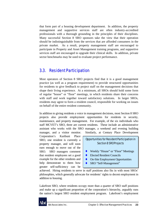that form part of a housing development department. In addition, the property management and supportive services staff are often industry-accredited professionals with a thorough grounding in the principles of their disciplines. Many successful Section 8 SRO sponsors take the view that their operation should be indistinguishable from the services that are afforded consumers in the private market. As a result, property management staff are encouraged to participate in Property and Asset Management training programs, and supportive services staff are encouraged to upgrade their clinical skills. In addition, private sector benchmarks may be used to evaluate project performance.

### 3.3. Resident Participation

Most operators of Section 8 SRO projects find that it is a good management practice (as well as a program requirement) to provide structured opportunities for residents to give feedback to project staff on the management decisions that shape their living experience. At a minimum, all SROs should hold some form of regular "house" or "floor" meetings, in which residents share their concerns with staff and work together toward satisfactory solutions. In larger SROs, residents may agree to form a resident council, responsible for working on issues on behalf of the entire resident community.

In addition to giving residents a voice in management decisions, most Section 8 SRO projects also provide employment opportunities for residents in security, maintenance, and property management. For example, of the six individuals who staff MCVET's SRO, three are current residents. These include an administrative assistant who works with the SRO manager, a weekend and evening building manager, and a visitor monitor. Similarly, at Century Place Development

Corporation's Karibuni Place property manager, and will soon Section 8 SRO Projects earn enough to move out of the that resident employees set a good  $\parallel \bullet \parallel$  Elected Resident Councils help demonstrate to them how  $\overrightarrow{ }$  SRO "Self-Management" greater self-sufficiency can be

 $SRO$ , one resident is currently a **Opportunities for Resident Participation in** 

- SRO. SRO managers comment  $\blacklozenge$  Weekly "House" or "Floor" Meetings
	-
- example for the other residents and  $\parallel \bullet$  On-Site Employment Opportunities
	-

achieved. Hiring residents to serve in staff positions also fits in with most SROs' philosophies, which generally advocate for residents' rights to decent employment in addition to housing.

Lakefront SRO, where residents occupy more than a quarter of SRO staff positions and make up a significant proportion of the corporation's hierarchy, arguably runs the nation's largest SRO resident employment program. Lakefront's employment

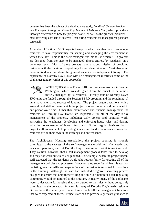program has been the subject of a detailed case study, *Landlord, Service Provider… and Employer: Hiring and Promoting Tenants at Lakefront SRO*, which provides a thorough discussion of how the program works, as well as the practical problems most involving conflicts of interest—that hiring residents for management positions can entail.

A number of Section 8 SRO projects have pursued still another path to encourage residents to take responsibility for shaping and managing the environment in which they live. This is the "self-management" model, in which SRO projects are designed from the start to be managed almost entirely by residents, on a volunteer basis. Most of these projects have a strong mission of providing residents with the maximum opportunity for self-determination. Most also target those individuals that show the greatest capacity for independent living. The experience of Dorothy Day House with self-management illustrates some of the challenges (and rewards) of this approach:

Dorothy Day House is a 41-unit SRO for homeless women in Seattle, Washington, which was designed from the outset to be almost entirely managed by its residents. Twenty-four of Dorothy Day's SRO units are funded through the Section 8 SRO program, and the remaining 17 units have alternative sources of funding. The project began operations with a skeletal paid staff of three, which the project sponsor hoped could be reduced to one person over time. Other than maintenance and financial management, the residents of Dorothy Day House are responsible for all of the day-to-day management of the property, including: daily upkeep and janitorial work; answering the telephones; developing and enforcing house rules; and dealing with the consequences of lease infractions. During regular business hours, project staff are available to provide guidance and handle maintenance issues, but residents are on their own in the evenings and on weekends.

The Archdiocesan Housing Association, the project sponsor, is strongly committed to the success of the self-management model, and after nearly two years of operations, staff at Dorothy Day House report that it is working well. They caution, however, that a self-management process takes time to develop and may not work out exactly as planned. For example, when the project began, staff expected that the residents would take responsibility for creating all of the management policies and processes. However, they soon found that this was not realistic given the skills and expectations of the residents recruited for positions in the building. Although the staff had instituted a rigorous screening process designed to ensure that only those willing and able to function in a self-regulating community would be admitted to the program, in reality, many of the applicants were so desperate for housing that they agreed to the rules without being truly committed to the concept. As a result, many of Dorothy Day's early residents did not have the capacity or frame of mind to fulfill the management functions that were expected of them. Project staff had to provide significant guidance to

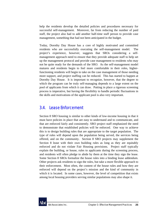help the residents develop the detailed policies and procedures necessary for successful self-management. Moreover, far from reducing the number of paid staff, the project also had to add another half-time staff person to provide case management, something that had not been anticipated in the budget.

Today, Dorothy Day House has a core of highly motivated and committed residents who are successfully executing the self-management model. The project's experience, however, suggests that SROs considering a selfmanagement approach need to ensure that they provide adequate staff to help set up the management protocol and provide case management to residents who may not be quite ready for the demands of the SRO. As the self-management model matures and residents begin to feel more comfortable in their roles, higherfunctioning residents will begin to take on the case management of those needing more support, and project staffing can be reduced. This has started to happen at Dorothy Day House. It is important to recognize, however, that the degree to which the program can be truly self-managing depends to a large extent on the pool of applicants from which it can draw. Putting in place a rigorous screening process is imperative, but having the flexibility to handle periodic fluctuations in the skills and motivations of the applicant pool is also very important.

## 3.4. Lease Enforcement

Section 8 SRO housing is similar to other kinds of low-income housing in that it must have policies in place that are easy to understand and to communicate, and that are enforced fairly and consistently. SRO project staff emphasized the need to demonstrate that established policies will be enforced. One way to achieve this is to design building rules that are appropriate to the target population. The type of rules will depend upon the population being served, the services being offered, and on the community. Section 8 SRO projects may supplement the Section 8 lease with their own building rules as long as they are equitably enforced and do not violate Fair Housing provisions. Project staff typically explain the building, or house, rules to applicants during the screening process, and residents will often pledge to abide by them at the time they sign the lease. Some Section 8 SROs formalize the house rules into a binding lease addendum. Other projects ask residents to sign the rules, but take a more flexible approach to their enforcement. Most often, the content of the house rules and how they are enforced will depend on the project's mission and the kind of community in which it is located. In some cases, however, the level of competition that exists among local housing providers serving similar populations may also shape it.

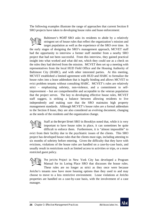The following examples illustrate the range of approaches that current Section 8 SRO projects have taken to developing house rules and lease enforcement:

Baltimore's MCVET SRO asks its residents to abide by a relatively stringent set of house rules that reflect the organization's mission and target population as well as the experience of the SRO over time. In the early stages of designing the SRO's management approach, MCVET staff had the opportunity to interview a former staff member from a nearby SRO project that had not been successful. From this interview, they gained practical insight into what worked and what did not, which they could use as a check on the rules they had derived from the mission. MCVET then set up a meeting with representatives from the local HUD Field Office and the Housing Authority of Baltimore City (HABC), and with other interested parties. At this meeting, MCVET established a limited agreement with HUD and HABC to formalize the house rules into a lease addendum that is legally binding and allows MCVET to evict problem tenants without consulting HABC. MCVET's rules are relatively strict – emphasizing sobriety, non-violence, and a commitment to selfimprovement – but are comprehensible and acceptable to the veteran population that the project serves. The key to developing effective house rules, MCVET staff suggest, is striking a balance between allowing residents to live independently and making sure that the SRO maintains high property management standards. Although MCVET's house rules are a formal addendum to the Section 8 lease, they are also considered an evolving document, changing as the needs of the residents and the organization change.

Staff at the Bergen Street SRO in Brooklyn noted that, while it is very important to have house rules in place, it can sometimes be quite difficult to enforce them. Furthermore, it is "almost impossible" to evict from their facility due to the psychiatric issues of the clients. This SRO project has developed house rules that the clients must sign, including attesting to six months of sobriety before entering. Given the difficulty that they have with evictions, violations of the house rules are handled on a case-by-case basis, and usually result in restrictions such as limited access to activities or trips, or a more restricted guest policy.



The Jericho Project in New York City has developed a Program Manual for its Loring Place SRO that discusses the house rules.

These rules are no longer as strict as they once were because Jericho's tenants now have more housing options than they used to and may choose to move to a less restrictive environment. Lease violations at Jericho properties are handled on a case-by-case basis, with the involvement of a case manager.

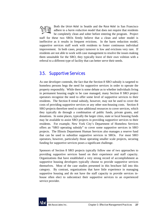

Both the Union Hotel in Seattle and the Rose Hotel in San Francisco adhere to a *harm reduction model* that does not require that residents be completely clean and sober before entering the program. Project staff for these two SROs firmly believe that a clean and sober model is ineffective as it results in frequent evictions. In the harm reduction model, supportive services staff work with residents to foster continuous individual improvement. In both cases, project turnover is low and evictions very rare. If residents are not able to work with case management to resolve the issues making them unsuitable for the SRO, they typically leave of their own volition with a referral to a different type of facility that can better serve their needs.

## 3.5. Supportive Services

As one developer contends, the fact that the Section 8 SRO subsidy is targeted to homeless persons begs the need for supportive services in order to operate the property responsibly. While there is some debate as to whether individuals living in permanent housing ought to be case managed, many Section 8 SRO project operators recognize the need to offer some level of supportive services to their residents. The Section 8 rental subsidy, however, may not be used to cover the costs of providing supportive services or any other non-housing costs. Section 8 SRO projects therefore need to raise additional resources to cover services, which they typically do through a combination of public funds, private grants, and donations. In some places, typically the larger cities, state or local housing funds may be available to assist SRO projects in providing supportive services to their residents. For example, New York City's Department of Homeless Services offers an "SRO operating subsidy" to cover some supportive services in SRO projects. The Illinois Department Human Services also manages a reserve fund that can be used to subsidize supportive services in SROs. For most SRO operators, however, particularly those operating smaller scale projects, securing funding for supportive services poses a significant challenge.

Sponsors of Section 8 SRO projects typically follow one of two approaches to providing supportive services based on their experience and staff capacity. Organizations that have established a very strong record of accomplishment as supportive housing developers typically choose to provide supportive services themselves. Most of the case studies presented in this brochure fall into this category. By contrast, organizations that have little experience in managing supportive housing and do not have the staff capacity to provide services inhouse often elect to subcontract their supportive services to an experienced service provider.

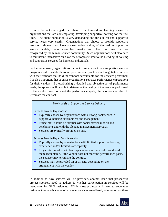It must be acknowledged that there is a tremendous learning curve for organizations that are contemplating developing supportive housing for the first time. The client population is very demanding and the clinical and supportive service needs very costly. Organizations that choose to provide supportive services in-house must have a clear understanding of the various supportive service models, performance benchmarks, and client outcomes that are recognized by the human service community. Such organizations will also need to familiarize themselves on a variety of topics related to the blending of housing and supportive services for homeless individuals.

By the same token, organizations that opt to subcontract their supportive services program need to establish sound procurement practices and negotiate contracts with their vendors that hold the vendors accountable for the services performed. It is also important that sponsor organizations set clear performance expectations for their vendors. By establishing a detailed and objective set of performance goals, the sponsor will be able to determine the quality of the services performed. If the vendor does not meet the performance goals, the sponsor can elect to terminate the contract.

#### Two Models of Supportive Service Delivery

Services Provided by Sponsor

- $\bullet$  Typically chosen by organizations with a strong track record in supportive housing development and management.
- Project staff should be familiar with social service models and benchmarks and with the blended management approach.
- $\bullet$  Services are typically provided on site.

Services Provided by an Outside Vendor

- $\bullet$  Typically chosen by organizations with limited supportive housing experience and/or limited staff capacity.
- Project staff need to set clear expectations for the vendors and hold them accountable. If the vendor does not meet the performance goals, the sponsor may terminate the contract.
- $\bullet$  Services may be provided on or off site, depending on the arrangement with the vendor.

In addition to how services will be provided, another issue that prospective project sponsors need to address is whether participation in services will be mandatory for SRO residents. While most projects will want to encourage residents to take advantage of whatever services are offered, whether or not these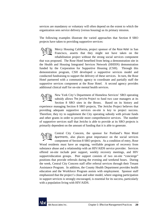services are mandatory or voluntary will often depend on the extent to which the organization sees service delivery (versus housing) as its primary mission.

The following examples illustrate the varied approaches that Section 8 SRO projects have taken to providing supportive services:

Mercy Housing California, project sponsor of the Rose Hotel in San Francisco, asserts that they might not have taken on the rehabilitation project without the strong social services component that was proposed. The Rose Hotel benefited from being a demonstration site in the Health and Housing Integrated Services Network (HHISN) demonstration funded by the Corporation for Supportive Housing (CSH). Through this demonstration program, CSH developed a supportive services model and conducted fundraising to support the delivery of these services. In turn, the Rose Hotel partnered with a community agency to coordinate and partially staff the supportive services component at the Rose Hotel. A second agency provides additional clinical staff for on-site mental health services.



New York City's Department of Homeless Services' SRO operating subsidy allows The Jericho Project to fund two case managers at its Section 8 SRO sites in the Bronx. Based on its history and

experience managing Section 8 SRO projects, The Jericho Project believes that providing adequate supportive services on-site is key to project success. Therefore, they try to supplement the City operating subsidy with private funds and other grants in order to provide more comprehensive services. The number of supportive services staff that Jericho is able to provide at its SRO projects is primarily dependent on the amount of funding that it is able to generate.



Central City Concern, the sponsor for Portland's Rose Wood Apartments, also places great importance on the social services component of Section 8 SRO projects. As a condition of entry, Rose Wood residents must have an ongoing, verifiable program of recovery from substance abuse and a relationship with an HIV/AIDS service provider. Services offered on-site include peer support, weekly recovery meetings, and HIV support/education groups. Peer support consists of two on-site "concierge" positions that provide referrals during the evening and weekend hours. During the week, Central City Concern staff offer referral services through their Tenant Assistance Program. In addition, the County Health Department provides health education and the Workforce Program assists with employment. Sponsor staff emphasized that the project's clean and sober model, where ongoing participation in support services is strongly encouraged, is essential for its success, particularly with a population living with HIV/AIDS.

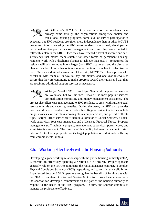At Baltimore's MCVET SRO, where most of the residents have already come through the organizations emergency shelter and transitional housing programs, some level of service participation is expected, but SRO residents are given more independence than in other MCVET programs. Prior to entering the SRO, most residents have already developed an individual service plan with case management staff, and they are expected to follow this plan in the SRO. Once they have reached a level of income and selfsufficiency that makes them suitable for other forms of permanent housing, residents work with a discharge planner to achieve their goals. Sometimes, the resident will wish to move into a larger (non-SRO) apartment, and the discharge planner can help him or her obtain a regular Section 8 voucher to subsidize the rent. Once an individual moves out of the SRO, MCVET's follow-up counselor checks in with them at 30-day, 90-day, six-month, and one-year intervals to ensure that they are continuing to make progress toward their goals and that they are receiving additional support services as necessary.

At Bergen Street HDFC in Brooklyn, New York, supportive services are voluntary, but well utilized. Two of the most popular services are medication monitoring and money management assistance. The project also offers case management to SRO residents to assist with further social service referrals and securing benefits. During the week, the SRO also provides lunch and dinner to residents for a modest fee. Regular resident activities include bingo, movies, exercise class, cooking class, computer class, and periodic off-site trips. Bergen Street service staff include a Director of Social Services, a social work supervisor, four case managers, and a Licensed Practical Nurse. Property management staff include a property management supervisor, porter, cook, and administrative assistant. The director of this facility believes that a client to staff ratio of 15 to 1 is appropriate for its target population of individuals suffering from chronic mental illness.

# 3.6. Working Effectively with the Housing Authority

Developing a good working relationship with the public housing authority (PHA) is essential to effectively operating a Section 8 SRO project. Project sponsors generally rely on the PHA to administer the rental assistance contract, to conduct Physical Conditions Standards (PCS) inspections, and to certify tenant eligibility. Experienced Section 8 SRO operators recognize the benefits of forging ties with the PHA's Executive Director and Section 8 Director. From these connections, the sponsor can develop a commitment on the part of the housing authority to respond to the needs of the SRO program. In turn, the sponsor commits to manage the project site effectively.

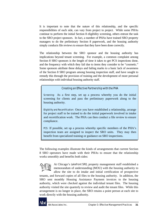It is important to note that the nature of this relationship, and the specific responsibilities of each side, can vary from project to project. While some PHAs continue to perform the initial Section 8 eligibility screening, others entrust the task to the SRO project sponsors. In fact, a number of PHAs have trained SRO property managers to do the preliminary Section 8 paperwork, and the housing authority simply conducts file reviews to ensure that they have been done correctly.

The relationship between the SRO sponsor and the housing authority has implications beyond tenant screening. For example, a common complaint among Section 8 SRO sponsors is the length of time it takes to get PCS inspections done, and the frequency with which they fail due to items they consider to be "cosmetic." Some sponsors attribute these delays and failing marks to a basic lack of awareness of the Section 8 SRO program among housing inspection staff, and have sought to remedy this through the provision of training and the development of more personal relationships with individual housing authority staff.

Creating an Effective Partnership with the PHA

Screening: As a first step, set up a process whereby you do the initial screening for clients and pass the preliminary paperwork along to the housing authority.

Eligibility and Recertification: Once you have established a relationship, arrange for project staff to be trained to do the initial paperwork involved in intake and recertification work. The PHA can then conduct a file review to ensure compliance.

PCS: If possible, set up a process whereby specific members of the PHA's inspection team are assigned to inspect the SRO units. They may then benefit from specialized training or guidance on SRO inspections.

The following examples illustrate the kinds of arrangements that current Section 8 SRO operators have made with their PHAs to ensure that the relationship works smoothly and benefits both sides:



At Chicago's Lakefront SRO, property management staff established a memorandum of understanding (MOU) with the housing authority to allow the site to do intake and initial certification of prospective

tenants, and forward copies of all files to the housing authority. In addition, the SRO sent monthly Housing Assistance Payment invoices to the housing authority, which were checked against the individual tenant files. The housing authority visited the site quarterly to review and audit the tenant files. While this arrangement is no longer in place, the SRO retains a point person at each site to work directly with the housing authority.

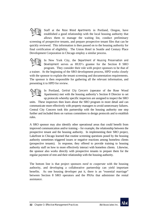

Staff at the Rose Wood Apartments in Portland, Oregon, have established a good relationship with the local housing authority that

allows them to manage the waiting list, conduct preliminary screening of prospective tenants, and prepare prospective tenant files that can be quickly reviewed. This information is then passed on to the housing authority for final certification of eligibility. The Union Hotel in Seattle and Century Place Development Corporation in Chicago employ a similar process.



In New York City, the Department of Housing Preservation and Development serves as HUD's grantee for the Section 8 SRO

program. They consider their role with project sponsors to be that of a trainer. At the beginning of the SRO development process, HPD works closely with the sponsor to explain the tenant screening and documentation requirements. The sponsor is then responsible for gathering all the relevant information, and presenting it to HPD for review.

In Portland, Central City Concern (operator of the Rose Wood Apartments) met with the housing authority's Section 8 Director to set up protocols whereby specific inspectors are assigned to inspect the SRO units. These inspectors then learn about the SRO program in more detail and can communicate more effectively with property managers to avoid unnecessary failures. Central City Concern took this partnership with the housing authority one step further and included them on various committees to design protocols and to establish rules.

A SRO sponsor may also identify other operational areas that could benefit from improved communication and/or training – for example, the relationship between the prospective tenant and the housing authority. In implementing their SRO project, Lakefront in Chicago learned that routine screening questions posed by the housing authority sometimes triggered issues or negative reactions among homeless clients (prospective tenants). In response, they offered to provide training to housing authority staff on how to more effectively interact with homeless clients. Likewise, the sponsor also works directly with prospective tenants to prepare them for the regular payment of rent and their relationship with the housing authority.

The bottom line is that project sponsors *need to cooperate* with the housing authority, and developing a collaborative partnership can yield important benefits. As one housing developer put it, there is an "essential marriage" between Section 8 SRO operators and the PHAs that administer the rental assistance.

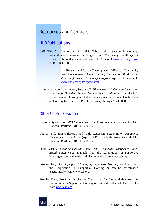# Resources and Contacts

# HUD Publications

CFR Title 24, Volume 4, Part 882, Subpart H – Section 8 Moderate Rehabilitation Program for Single Room Occupancy Dwellings for Homeless Individuals, available via GPO Access at www.access.gpo.gov (Cite: 24CFR882).

> of Housing and Urban Development, Office of Community and Development, *Understanding the Section 8 Moderate Rehabilitation Single Room Occupancy Program*, April 1998, available www.hud.gov/cpd/sroptoc.html.

AIDS Housing of Washington, Seattle WA, *Placemakers: A Guide to Developing Housing for Homeless People*, Presentations and Materials from the U.S. Department of Housing and Urban Development's Regional Conferences on Housing for Homeless People, February through April 2000.

### Other Useful Resources

- Central City Concern, *SRO Management Handbook*, available from Central City Concern, Portland, OR, 503-226-7387.
- Church, Bill, Sam Galbreath, and Andy Raubeson, *Single Room Occupancy Development Handbook* (April 1985), available from Central City Concern, Portland, OR, 503-226-7387.
- Parkhill, Paul, *Vocationalizing the Home Front: Promising Practices in Place-Based Employment*, available from the Corporation for Supportive Housing or can be downloaded electronically from www.csh.org.
- Proscio, Tony, *Developing and Managing Supportive Housing*, available from the Corporation for Supportive Housing or can be downloaded electronically from www.csh.org.
- Proscio, Tony, *Providing Services in Supportive Housing*, available from the Corporation for Supportive Housing or can be downloaded electronically from www.csh.org.